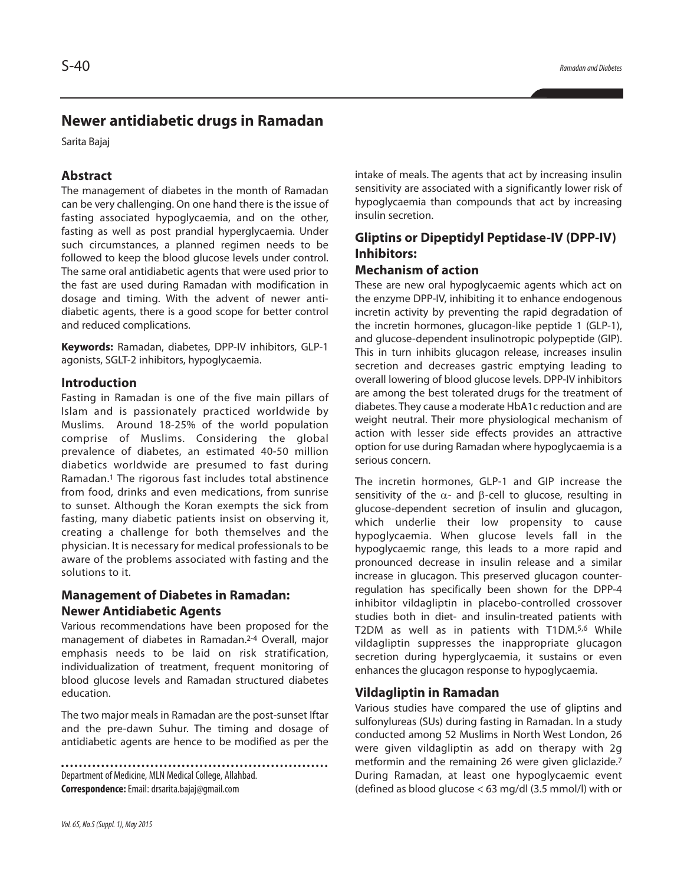# **Newer antidiabetic drugs in Ramadan**

Sarita Bajaj

### **Abstract**

The management of diabetes in the month of Ramadan can be very challenging. On one hand there is the issue of fasting associated hypoglycaemia, and on the other, fasting as well as post prandial hyperglycaemia. Under such circumstances, a planned regimen needs to be followed to keep the blood glucose levels under control. The same oral antidiabetic agents that were used prior to the fast are used during Ramadan with modification in dosage and timing. With the advent of newer antidiabetic agents, there is a good scope for better control and reduced complications.

**Keywords:** Ramadan, diabetes, DPP-IV inhibitors, GLP-1 agonists, SGLT-2 inhibitors, hypoglycaemia.

#### **Introduction**

Fasting in Ramadan is one of the five main pillars of Islam and is passionately practiced worldwide by Muslims. Around 18-25% of the world population comprise of Muslims. Considering the global prevalence of diabetes, an estimated 40-50 million diabetics worldwide are presumed to fast during Ramadan. <sup>1</sup> The rigorous fast includes total abstinence from food, drinks and even medications, from sunrise to sunset. Although the Koran exempts the sick from fasting, many diabetic patients insist on observing it, creating a challenge for both themselves and the physician. It is necessary for medical professionals to be aware of the problems associated with fasting and the solutions to it.

## **Management of Diabetes in Ramadan: Newer Antidiabetic Agents**

Various recommendations have been proposed for the management of diabetes in Ramadan. 2-4 Overall, major emphasis needs to be laid on risk stratification, individualization of treatment, frequent monitoring of blood glucose levels and Ramadan structured diabetes education.

The two major meals in Ramadan are the post-sunset Iftar and the pre-dawn Suhur. The timing and dosage of antidiabetic agents are hence to be modified as per the

Department of Medicine, MLN Medical College, Allahbad. **Correspondence:**Email:drsarita.bajaj@gmail.com

intake of meals. The agents that act by increasing insulin sensitivity are associated with a significantly lower risk of hypoglycaemia than compounds that act by increasing insulin secretion.

# **Gliptins or Dipeptidyl Peptidase-IV (DPP-IV) Inhibitors:**

### **Mechanism of action**

These are new oral hypoglycaemic agents which act on the enzyme DPP-IV, inhibiting it to enhance endogenous incretin activity by preventing the rapid degradation of the incretin hormones, glucagon-like peptide 1 (GLP-1), and glucose-dependent insulinotropic polypeptide (GIP). This in turn inhibits glucagon release, increases insulin secretion and decreases gastric emptying leading to overall lowering of blood glucose levels. DPP-IV inhibitors are among the best tolerated drugs for the treatment of diabetes. They cause a moderate HbA1c reduction and are weight neutral. Their more physiological mechanism of action with lesser side effects provides an attractive option for use during Ramadan where hypoglycaemia is a serious concern.

The incretin hormones, GLP-1 and GIP increase the sensitivity of the  $\alpha$ - and  $\beta$ -cell to glucose, resulting in glucose-dependent secretion of insulin and glucagon, which underlie their low propensity to cause hypoglycaemia. When glucose levels fall in the hypoglycaemic range, this leads to a more rapid and pronounced decrease in insulin release and a similar increase in glucagon. This preserved glucagon counterregulation has specifically been shown for the DPP-4 inhibitor vildagliptin in placebo-controlled crossover studies both in diet- and insulin-treated patients with T2DM as well as in patients with T1DM. 5,6 While vildagliptin suppresses the inappropriate glucagon secretion during hyperglycaemia, it sustains or even enhances the glucagon response to hypoglycaemia.

### **Vildagliptin in Ramadan**

Various studies have compared the use of gliptins and sulfonylureas (SUs) during fasting in Ramadan. In a study conducted among 52 Muslims in North West London, 26 were given vildagliptin as add on therapy with 2g metformin and the remaining 26 were given gliclazide. 7 During Ramadan, at least one hypoglycaemic event (defined as blood glucose < 63 mg/dl (3.5 mmol/l) with or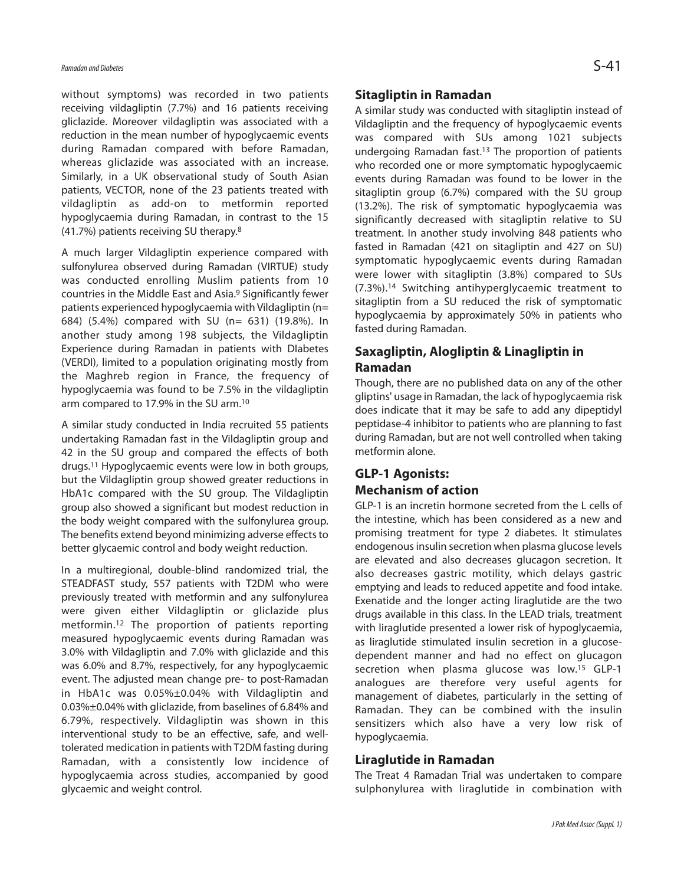without symptoms) was recorded in two patients receiving vildagliptin (7.7%) and 16 patients receiving gliclazide. Moreover vildagliptin was associated with a reduction in the mean number of hypoglycaemic events during Ramadan compared with before Ramadan, whereas gliclazide was associated with an increase. Similarly, in a UK observational study of South Asian patients, VECTOR, none of the 23 patients treated with vildagliptin as add-on to metformin reported hypoglycaemia during Ramadan, in contrast to the 15 (41.7%) patients receiving SU therapy. 8

A much larger Vildagliptin experience compared with sulfonylurea observed during Ramadan (VIRTUE) study was conducted enrolling Muslim patients from 10 countries in the Middle East and Asia. <sup>9</sup> Significantly fewer patients experienced hypoglycaemia with Vildagliptin (n= 684) (5.4%) compared with SU (n= 631) (19.8%). In another study among 198 subjects, the Vildagliptin Experience during Ramadan in patients with DIabetes (VERDI), limited to a population originating mostly from the Maghreb region in France, the frequency of hypoglycaemia was found to be 7.5% in the vildagliptin arm compared to 17.9% in the SU arm.<sup>10</sup>

A similar study conducted in India recruited 55 patients undertaking Ramadan fast in the Vildagliptin group and 42 in the SU group and compared the effects of both drugs. <sup>11</sup> Hypoglycaemic events were low in both groups, but the Vildagliptin group showed greater reductions in HbA1c compared with the SU group. The Vildagliptin group also showed a significant but modest reduction in the body weight compared with the sulfonylurea group. The benefits extend beyond minimizing adverse effects to better glycaemic control and body weight reduction.

In a multiregional, double-blind randomized trial, the STEADFAST study, 557 patients with T2DM who were previously treated with metformin and any sulfonylurea were given either Vildagliptin or gliclazide plus metformin. <sup>12</sup> The proportion of patients reporting measured hypoglycaemic events during Ramadan was 3.0% with Vildagliptin and 7.0% with gliclazide and this was 6.0% and 8.7%, respectively, for any hypoglycaemic event. The adjusted mean change pre- to post-Ramadan in HbA1c was 0.05%±0.04% with Vildagliptin and 0.03%±0.04% with gliclazide, from baselines of 6.84% and 6.79%, respectively. Vildagliptin was shown in this interventional study to be an effective, safe, and welltolerated medication in patients with T2DM fasting during Ramadan, with a consistently low incidence of hypoglycaemia across studies, accompanied by good glycaemic and weight control.

#### **Sitagliptin in Ramadan**

A similar study was conducted with sitagliptin instead of Vildagliptin and the frequency of hypoglycaemic events was compared with SUs among 1021 subjects undergoing Ramadan fast. <sup>13</sup> The proportion of patients who recorded one or more symptomatic hypoglycaemic events during Ramadan was found to be lower in the sitagliptin group (6.7%) compared with the SU group (13.2%). The risk of symptomatic hypoglycaemia was significantly decreased with sitagliptin relative to SU treatment. In another study involving 848 patients who fasted in Ramadan (421 on sitagliptin and 427 on SU) symptomatic hypoglycaemic events during Ramadan were lower with sitagliptin (3.8%) compared to SUs (7.3%). 14 Switching antihyperglycaemic treatment to sitagliptin from a SU reduced the risk of symptomatic hypoglycaemia by approximately 50% in patients who fasted during Ramadan.

## **Saxagliptin, Alogliptin & Linagliptin in Ramadan**

Though, there are no published data on any of the other gliptins' usage in Ramadan, the lack of hypoglycaemia risk does indicate that it may be safe to add any dipeptidyl peptidase-4 inhibitor to patients who are planning to fast during Ramadan, but are not well controlled when taking metformin alone.

## **GLP-1 Agonists: Mechanism of action**

GLP-1 is an incretin hormone secreted from the L cells of the intestine, which has been considered as a new and promising treatment for type 2 diabetes. It stimulates endogenous insulin secretion when plasma glucose levels are elevated and also decreases glucagon secretion. It also decreases gastric motility, which delays gastric emptying and leads to reduced appetite and food intake. Exenatide and the longer acting liraglutide are the two drugs available in this class. In the LEAD trials, treatment with liraglutide presented a lower risk of hypoglycaemia, as liraglutide stimulated insulin secretion in a glucosedependent manner and had no effect on glucagon secretion when plasma glucose was low. <sup>15</sup> GLP-1 analogues are therefore very useful agents for management of diabetes, particularly in the setting of Ramadan. They can be combined with the insulin sensitizers which also have a very low risk of hypoglycaemia.

### **Liraglutide in Ramadan**

The Treat 4 Ramadan Trial was undertaken to compare sulphonylurea with liraglutide in combination with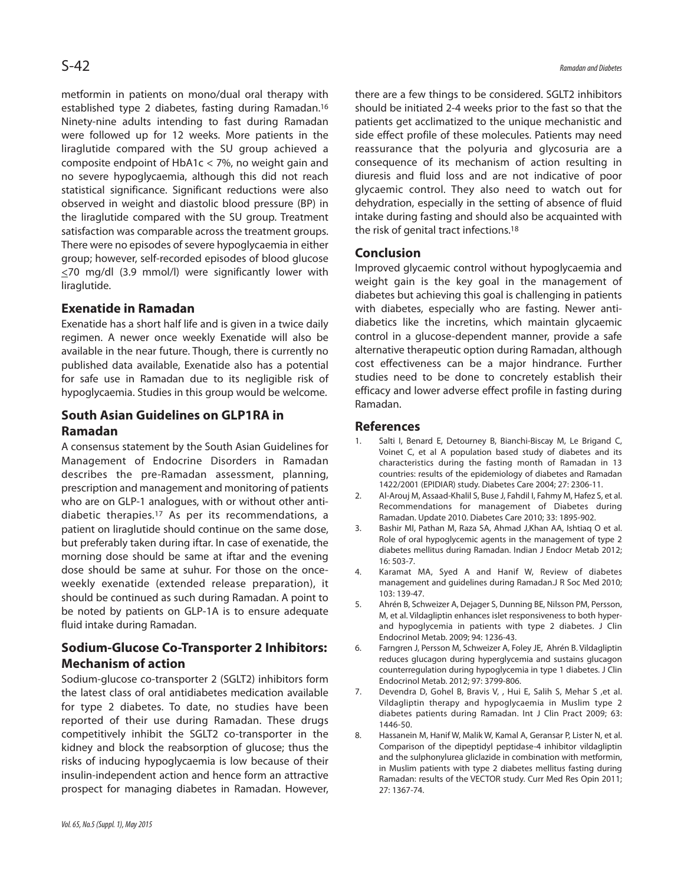metformin in patients on mono/dual oral therapy with established type 2 diabetes, fasting during Ramadan.<sup>16</sup> Ninety-nine adults intending to fast during Ramadan were followed up for 12 weeks. More patients in the liraglutide compared with the SU group achieved a composite endpoint of HbA1c < 7%, no weight gain and no severe hypoglycaemia, although this did not reach statistical significance. Significant reductions were also observed in weight and diastolic blood pressure (BP) in the liraglutide compared with the SU group. Treatment satisfaction was comparable across the treatment groups. There were no episodes of severe hypoglycaemia in either group; however, self-recorded episodes of blood glucose  $\leq$ 70 mg/dl (3.9 mmol/l) were significantly lower with liraglutide.

## **Exenatide in Ramadan**

Exenatide has a short half life and is given in a twice daily regimen. A newer once weekly Exenatide will also be available in the near future. Though, there is currently no published data available, Exenatide also has a potential for safe use in Ramadan due to its negligible risk of hypoglycaemia. Studies in this group would be welcome.

## **South Asian Guidelines on GLP1RA in Ramadan**

A consensus statement by the South Asian Guidelines for Management of Endocrine Disorders in Ramadan describes the pre-Ramadan assessment, planning, prescription and management and monitoring of patients who are on GLP-1 analogues, with or without other antidiabetic therapies. <sup>17</sup> As per its recommendations, a patient on liraglutide should continue on the same dose, but preferably taken during iftar. In case of exenatide, the morning dose should be same at iftar and the evening dose should be same at suhur. For those on the onceweekly exenatide (extended release preparation), it should be continued as such during Ramadan. A point to be noted by patients on GLP-1A is to ensure adequate fluid intake during Ramadan.

# **Sodium-Glucose Co-Transporter 2 Inhibitors: Mechanism of action**

Sodium-glucose co-transporter 2 (SGLT2) inhibitors form the latest class of oral antidiabetes medication available for type 2 diabetes. To date, no studies have been reported of their use during Ramadan. These drugs competitively inhibit the SGLT2 co-transporter in the kidney and block the reabsorption of glucose; thus the risks of inducing hypoglycaemia is low because of their insulin-independent action and hence form an attractive prospect for managing diabetes in Ramadan. However, there are a few things to be considered. SGLT2 inhibitors should be initiated 2-4 weeks prior to the fast so that the patients get acclimatized to the unique mechanistic and side effect profile of these molecules. Patients may need reassurance that the polyuria and glycosuria are a consequence of its mechanism of action resulting in diuresis and fluid loss and are not indicative of poor glycaemic control. They also need to watch out for dehydration, especially in the setting of absence of fluid intake during fasting and should also be acquainted with the risk of genital tract infections. 18

### **Conclusion**

Improved glycaemic control without hypoglycaemia and weight gain is the key goal in the management of diabetes but achieving this goal is challenging in patients with diabetes, especially who are fasting. Newer antidiabetics like the incretins, which maintain glycaemic control in a glucose-dependent manner, provide a safe alternative therapeutic option during Ramadan, although cost effectiveness can be a major hindrance. Further studies need to be done to concretely establish their efficacy and lower adverse effect profile in fasting during Ramadan.

#### **References**

- Salti I, Benard E, Detourney B, Bianchi-Biscay M, Le Brigand C, Voinet C, et al A population based study of diabetes and its characteristics during the fasting month of Ramadan in 13 countries: results of the epidemiology of diabetes and Ramadan 1422/2001 (EPIDIAR) study. Diabetes Care 2004; 27: 2306-11.
- 2. Al-Arouj M, Assaad-Khalil S, Buse J, Fahdil I, Fahmy M, Hafez S, et al. Recommendations for management of Diabetes during Ramadan. Update 2010. Diabetes Care 2010; 33: 1895-902.
- 3. Bashir MI, Pathan M, Raza SA, Ahmad J,Khan AA, Ishtiaq O et al. Role of oral hypoglycemic agents in the management of type 2 diabetes mellitus during Ramadan. Indian J Endocr Metab 2012; 16: 503-7.
- 4. Karamat MA, Syed A and Hanif W, Review of diabetes management and guidelines during Ramadan.J R Soc Med 2010; 103: 139-47.
- 5. Ahrén B, Schweizer A, Dejager S, Dunning BE, Nilsson PM, Persson, M, et al. Vildagliptin enhances islet responsiveness to both hyperand hypoglycemia in patients with type 2 diabetes. J Clin Endocrinol Metab. 2009; 94: 1236-43.
- 6. Farngren J, Persson M, Schweizer A, Foley JE, Ahrén B. Vildagliptin reduces glucagon during hyperglycemia and sustains glucagon counterregulation during hypoglycemia in type 1 diabetes. J Clin Endocrinol Metab. 2012; 97: 3799-806.
- 7. Devendra D, Gohel B, Bravis V, , Hui E, Salih S, Mehar S ,et al. Vildagliptin therapy and hypoglycaemia in Muslim type 2 diabetes patients during Ramadan. Int J Clin Pract 2009; 63: 1446-50.
- 8. Hassanein M, Hanif W, Malik W, Kamal A, Geransar P, Lister N, et al. Comparison of the dipeptidyl peptidase-4 inhibitor vildagliptin and the sulphonylurea gliclazide in combination with metformin, in Muslim patients with type 2 diabetes mellitus fasting during Ramadan: results of the VECTOR study. Curr Med Res Opin 2011; 27: 1367-74.